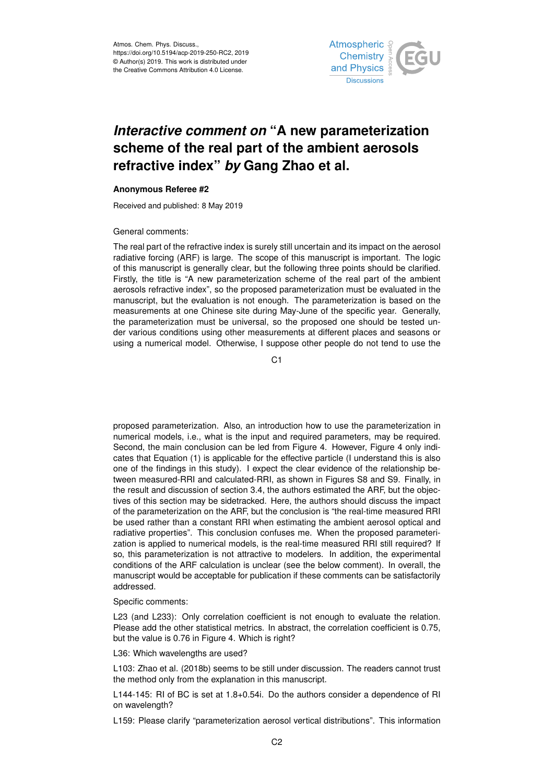

# *Interactive comment on* **"A new parameterization scheme of the real part of the ambient aerosols refractive index"** *by* **Gang Zhao et al.**

## **Anonymous Referee #2**

Received and published: 8 May 2019

## General comments:

The real part of the refractive index is surely still uncertain and its impact on the aerosol radiative forcing (ARF) is large. The scope of this manuscript is important. The logic of this manuscript is generally clear, but the following three points should be clarified. Firstly, the title is "A new parameterization scheme of the real part of the ambient aerosols refractive index", so the proposed parameterization must be evaluated in the manuscript, but the evaluation is not enough. The parameterization is based on the measurements at one Chinese site during May-June of the specific year. Generally, the parameterization must be universal, so the proposed one should be tested under various conditions using other measurements at different places and seasons or using a numerical model. Otherwise, I suppose other people do not tend to use the

C<sub>1</sub>

proposed parameterization. Also, an introduction how to use the parameterization in numerical models, i.e., what is the input and required parameters, may be required. Second, the main conclusion can be led from Figure 4. However, Figure 4 only indicates that Equation (1) is applicable for the effective particle (I understand this is also one of the findings in this study). I expect the clear evidence of the relationship between measured-RRI and calculated-RRI, as shown in Figures S8 and S9. Finally, in the result and discussion of section 3.4, the authors estimated the ARF, but the objectives of this section may be sidetracked. Here, the authors should discuss the impact of the parameterization on the ARF, but the conclusion is "the real-time measured RRI be used rather than a constant RRI when estimating the ambient aerosol optical and radiative properties". This conclusion confuses me. When the proposed parameterization is applied to numerical models, is the real-time measured RRI still required? If so, this parameterization is not attractive to modelers. In addition, the experimental conditions of the ARF calculation is unclear (see the below comment). In overall, the manuscript would be acceptable for publication if these comments can be satisfactorily addressed.

### Specific comments:

L23 (and L233): Only correlation coefficient is not enough to evaluate the relation. Please add the other statistical metrics. In abstract, the correlation coefficient is 0.75, but the value is 0.76 in Figure 4. Which is right?

#### L36: Which wavelengths are used?

L103: Zhao et al. (2018b) seems to be still under discussion. The readers cannot trust the method only from the explanation in this manuscript.

L144-145: RI of BC is set at 1.8+0.54i. Do the authors consider a dependence of RI on wavelength?

L159: Please clarify "parameterization aerosol vertical distributions". This information